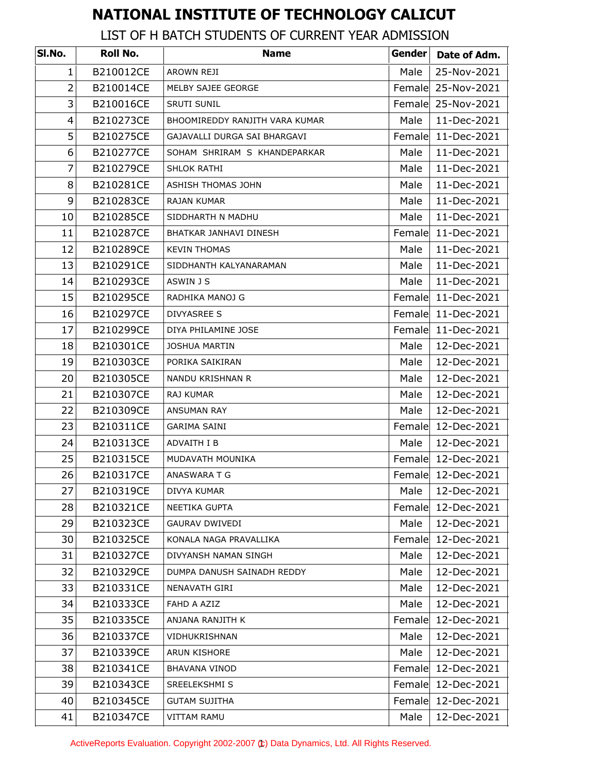## **NATIONAL INSTITUTE OF TECHNOLOGY CALICUT**

LIST OF H BATCH STUDENTS OF CURRENT YEAR ADMISSION

| SI.No.         | <b>Roll No.</b> | <b>Name</b>                    | Gender | Date of Adm.       |
|----------------|-----------------|--------------------------------|--------|--------------------|
| 1              | B210012CE       | AROWN REJI                     | Male   | 25-Nov-2021        |
| $\overline{2}$ | B210014CE       | MELBY SAJEE GEORGE             |        | Female 25-Nov-2021 |
| 3              | B210016CE       | <b>SRUTI SUNIL</b>             |        | Female 25-Nov-2021 |
| 4              | B210273CE       | BHOOMIREDDY RANJITH VARA KUMAR | Male   | 11-Dec-2021        |
| 5              | B210275CE       | GAJAVALLI DURGA SAI BHARGAVI   | Female | 11-Dec-2021        |
| 6              | B210277CE       | SOHAM SHRIRAM S KHANDEPARKAR   | Male   | 11-Dec-2021        |
| 7              | B210279CE       | SHLOK RATHI                    | Male   | 11-Dec-2021        |
| 8              | B210281CE       | ASHISH THOMAS JOHN             | Male   | 11-Dec-2021        |
| 9              | B210283CE       | <b>RAJAN KUMAR</b>             | Male   | 11-Dec-2021        |
| 10             | B210285CE       | SIDDHARTH N MADHU              | Male   | 11-Dec-2021        |
| 11             | B210287CE       | BHATKAR JANHAVI DINESH         | Female | 11-Dec-2021        |
| 12             | B210289CE       | <b>KEVIN THOMAS</b>            | Male   | 11-Dec-2021        |
| 13             | B210291CE       | SIDDHANTH KALYANARAMAN         | Male   | 11-Dec-2021        |
| 14             | B210293CE       | ASWIN J S                      | Male   | 11-Dec-2021        |
| 15             | B210295CE       | RADHIKA MANOJ G                |        | Female 11-Dec-2021 |
| 16             | B210297CE       | <b>DIVYASREE S</b>             |        | Female 11-Dec-2021 |
| 17             | B210299CE       | DIYA PHILAMINE JOSE            |        | Female 11-Dec-2021 |
| 18             | B210301CE       | <b>JOSHUA MARTIN</b>           | Male   | 12-Dec-2021        |
| 19             | B210303CE       | PORIKA SAIKIRAN                | Male   | 12-Dec-2021        |
| 20             | B210305CE       | NANDU KRISHNAN R               | Male   | 12-Dec-2021        |
| 21             | B210307CE       | RAJ KUMAR                      | Male   | 12-Dec-2021        |
| 22             | B210309CE       | ANSUMAN RAY                    | Male   | 12-Dec-2021        |
| 23             | B210311CE       | <b>GARIMA SAINI</b>            |        | Female 12-Dec-2021 |
| 24             | B210313CE       | ADVAITH I B                    | Male   | 12-Dec-2021        |
| 25             | B210315CE       | MUDAVATH MOUNIKA               |        | Female 12-Dec-2021 |
| 26             | B210317CE       | ANASWARA T G                   |        | Female 12-Dec-2021 |
| 27             | B210319CE       | DIVYA KUMAR                    | Male   | 12-Dec-2021        |
| 28             | B210321CE       | NEETIKA GUPTA                  | Female | 12-Dec-2021        |
| 29             | B210323CE       | <b>GAURAV DWIVEDI</b>          | Male   | 12-Dec-2021        |
| 30             | B210325CE       | KONALA NAGA PRAVALLIKA         | Female | 12-Dec-2021        |
| 31             | B210327CE       | DIVYANSH NAMAN SINGH           | Male   | 12-Dec-2021        |
| 32             | B210329CE       | DUMPA DANUSH SAINADH REDDY     | Male   | 12-Dec-2021        |
| 33             | B210331CE       | NENAVATH GIRI                  | Male   | 12-Dec-2021        |
| 34             | B210333CE       | FAHD A AZIZ                    | Male   | 12-Dec-2021        |
| 35             | B210335CE       | ANJANA RANJITH K               |        | Female 12-Dec-2021 |
| 36             | B210337CE       | VIDHUKRISHNAN                  | Male   | 12-Dec-2021        |
| 37             | B210339CE       | ARUN KISHORE                   | Male   | 12-Dec-2021        |
| 38             | B210341CE       | <b>BHAVANA VINOD</b>           | Female | 12-Dec-2021        |
| 39             | B210343CE       | SREELEKSHMI S                  |        | Female 12-Dec-2021 |
| 40             | B210345CE       | <b>GUTAM SUJITHA</b>           |        | Female 12-Dec-2021 |
| 41             | B210347CE       | VITTAM RAMU                    | Male   | 12-Dec-2021        |

ActiveReports Evaluation. Copyright 2002-2007 (t) Data Dynamics, Ltd. All Rights Reserved.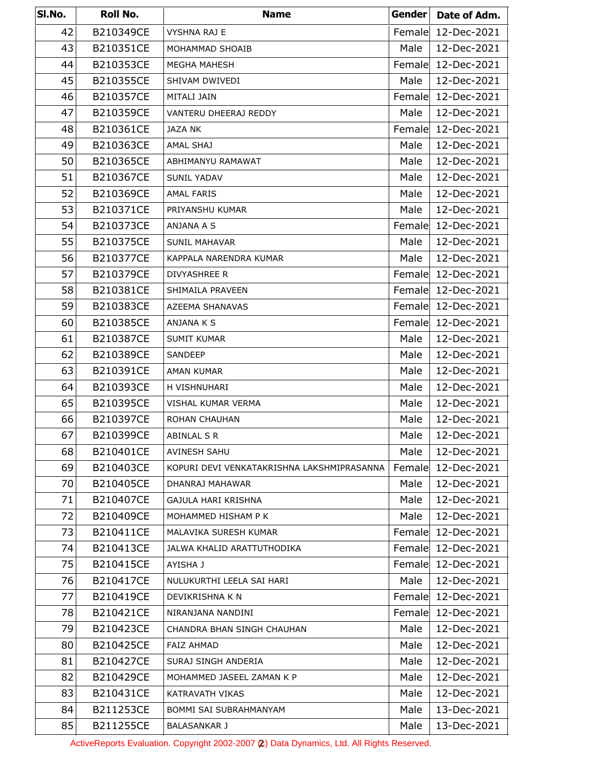| SI.No. | Roll No.  | <b>Name</b>                                | <b>Gender</b> | Date of Adm.       |
|--------|-----------|--------------------------------------------|---------------|--------------------|
| 42     | B210349CE | <b>VYSHNA RAJ E</b>                        | Female        | 12-Dec-2021        |
| 43     | B210351CE | MOHAMMAD SHOAIB                            | Male          | 12-Dec-2021        |
| 44     | B210353CE | <b>MEGHA MAHESH</b>                        | Female        | 12-Dec-2021        |
| 45     | B210355CE | SHIVAM DWIVEDI                             | Male          | 12-Dec-2021        |
| 46     | B210357CE | MITALI JAIN                                | Female        | 12-Dec-2021        |
| 47     | B210359CE | VANTERU DHEERAJ REDDY                      | Male          | 12-Dec-2021        |
| 48     | B210361CE | JAZA NK                                    | Female        | 12-Dec-2021        |
| 49     | B210363CE | AMAL SHAJ                                  | Male          | 12-Dec-2021        |
| 50     | B210365CE | ABHIMANYU RAMAWAT                          | Male          | 12-Dec-2021        |
| 51     | B210367CE | <b>SUNIL YADAV</b>                         | Male          | 12-Dec-2021        |
| 52     | B210369CE | <b>AMAL FARIS</b>                          | Male          | 12-Dec-2021        |
| 53     | B210371CE | PRIYANSHU KUMAR                            | Male          | 12-Dec-2021        |
| 54     | B210373CE | ANJANA A S                                 | Female        | 12-Dec-2021        |
| 55     | B210375CE | <b>SUNIL MAHAVAR</b>                       | Male          | 12-Dec-2021        |
| 56     | B210377CE | KAPPALA NARENDRA KUMAR                     | Male          | 12-Dec-2021        |
| 57     | B210379CE | <b>DIVYASHREE R</b>                        |               | Female 12-Dec-2021 |
| 58     | B210381CE | SHIMAILA PRAVEEN                           |               | Female 12-Dec-2021 |
| 59     | B210383CE | AZEEMA SHANAVAS                            |               | Female 12-Dec-2021 |
| 60     | B210385CE | ANJANA K S                                 |               | Female 12-Dec-2021 |
| 61     | B210387CE | SUMIT KUMAR                                | Male          | 12-Dec-2021        |
| 62     | B210389CE | SANDEEP                                    | Male          | 12-Dec-2021        |
| 63     | B210391CE | AMAN KUMAR                                 | Male          | 12-Dec-2021        |
| 64     | B210393CE | H VISHNUHARI                               | Male          | 12-Dec-2021        |
| 65     | B210395CE | VISHAL KUMAR VERMA                         | Male          | 12-Dec-2021        |
| 66     | B210397CE | <b>ROHAN CHAUHAN</b>                       | Male          | 12-Dec-2021        |
| 67     | B210399CE | ABINLAL S R                                | Male          | 12-Dec-2021        |
| 68     | B210401CE | AVINESH SAHU                               | Male          | 12-Dec-2021        |
| 69     | B210403CE | KOPURI DEVI VENKATAKRISHNA LAKSHMIPRASANNA | Female        | 12-Dec-2021        |
| 70     | B210405CE | DHANRAJ MAHAWAR                            | Male          | 12-Dec-2021        |
| 71     | B210407CE | GAJULA HARI KRISHNA                        | Male          | 12-Dec-2021        |
| 72     | B210409CE | MOHAMMED HISHAM P K                        | Male          | 12-Dec-2021        |
| 73     | B210411CE | MALAVIKA SURESH KUMAR                      | Female        | 12-Dec-2021        |
| 74     | B210413CE | JALWA KHALID ARATTUTHODIKA                 | Female        | 12-Dec-2021        |
| 75     | B210415CE | AYISHA J                                   | Female        | 12-Dec-2021        |
| 76     | B210417CE | NULUKURTHI LEELA SAI HARI                  | Male          | 12-Dec-2021        |
| 77     | B210419CE | DEVIKRISHNA K N                            | Female        | 12-Dec-2021        |
| 78     | B210421CE | NIRANJANA NANDINI                          | Female        | 12-Dec-2021        |
| 79     | B210423CE | CHANDRA BHAN SINGH CHAUHAN                 | Male          | 12-Dec-2021        |
| 80     | B210425CE | <b>FAIZ AHMAD</b>                          | Male          | 12-Dec-2021        |
| 81     | B210427CE | SURAJ SINGH ANDERIA                        | Male          | 12-Dec-2021        |
| 82     | B210429CE | MOHAMMED JASEEL ZAMAN K P                  | Male          | 12-Dec-2021        |
| 83     | B210431CE | <b>KATRAVATH VIKAS</b>                     | Male          | 12-Dec-2021        |
| 84     | B211253CE | BOMMI SAI SUBRAHMANYAM                     | Male          | 13-Dec-2021        |
| 85     | B211255CE | <b>BALASANKAR J</b>                        | Male          | 13-Dec-2021        |

ActiveReports Evaluation. Copyright 2002-2007 (2) Data Dynamics, Ltd. All Rights Reserved.